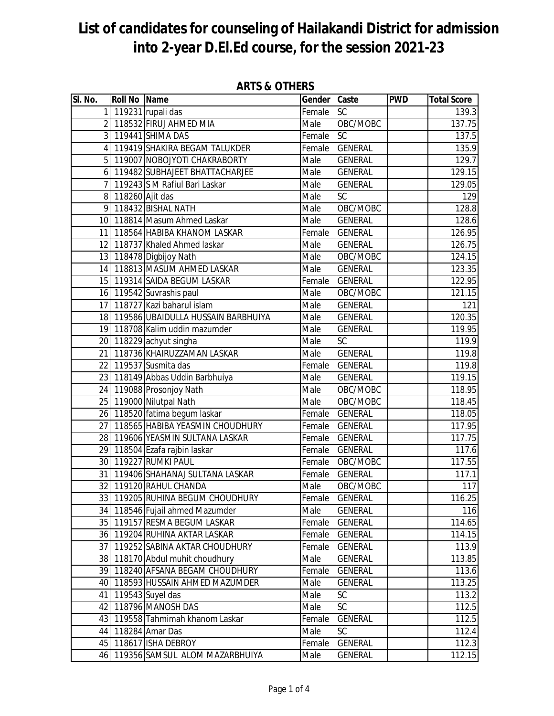| SI. No.        | Roll No Name    |                                    | Gender Caste               |                | <b>PWD</b> | <b>Total Score</b> |
|----------------|-----------------|------------------------------------|----------------------------|----------------|------------|--------------------|
| $\mathbf{1}$   |                 | 119231 rupali das                  | Female                     | <b>SC</b>      |            | 139.3              |
| $\overline{2}$ |                 | 118532 FIRUJ AHMED MIA             | Male                       | OBC/MOBC       |            | 137.75             |
| دى             |                 | 119441 SHIMA DAS                   | Female                     | SC             |            | 137.5              |
| $\overline{4}$ |                 | 119419 SHAKIRA BEGAM TALUKDER      | Female                     | <b>GENERAL</b> |            | 135.9              |
| 5              |                 | 119007 NOBOJYOTI CHAKRABORTY       | Male                       | <b>GENERAL</b> |            | 129.7              |
| 6              |                 | 119482 SUBHAJEET BHATTACHARJEE     | Male                       | <b>GENERAL</b> |            | 129.15             |
| $\overline{7}$ |                 | 119243 S M Rafiul Bari Laskar      | Male                       | <b>GENERAL</b> |            | 129.05             |
| 8 <sup>1</sup> | 118260 Ajit das |                                    | Male                       | SC             |            | 129                |
| 9              |                 | 118432 BISHAL NATH                 | Male                       | OBC/MOBC       |            | 128.8              |
| 10             |                 | 118814 Masum Ahmed Laskar          | Male                       | <b>GENERAL</b> |            | 128.6              |
| 11             |                 | 118564 HABIBA KHANOM LASKAR        | Female                     | <b>GENERAL</b> |            | 126.95             |
| 12             |                 | 118737 Khaled Ahmed laskar         | Male                       | <b>GENERAL</b> |            | 126.75             |
|                |                 | 13 118478 Digbijoy Nath            | Male                       | OBC/MOBC       |            | 124.15             |
| 14             |                 | 118813 MASUM AHMED LASKAR          | Male                       | <b>GENERAL</b> |            | 123.35             |
|                |                 | 15 119314 SAIDA BEGUM LASKAR       | Female                     | <b>GENERAL</b> |            | 122.95             |
|                |                 | 16 119542 Suvrashis paul           | Male                       | OBC/MOBC       |            | 121.15             |
|                |                 | 17 118727 Kazi baharul islam       | Male                       | <b>GENERAL</b> |            | 121                |
| 18             |                 | 119586 UBAIDULLA HUSSAIN BARBHUIYA | Male                       | <b>GENERAL</b> |            | 120.35             |
| 19             |                 | 118708 Kalim uddin mazumder        | $\overline{\mathsf{Male}}$ | <b>GENERAL</b> |            | 119.95             |
|                |                 | 20 118229 achyut singha            | Male                       | SC             |            | 119.9              |
| 21             |                 | 118736 KHAIRUZZAMAN LASKAR         | Male                       | <b>GENERAL</b> |            | 119.8              |
| 22             |                 | 119537 Susmita das                 | Female                     | <b>GENERAL</b> |            | 119.8              |
| 23             |                 | 118149 Abbas Uddin Barbhuiya       | $\overline{\mathsf{Male}}$ | <b>GENERAL</b> |            | 119.15             |
| 24             |                 | 119088 Prosonjoy Nath              | Male                       | OBC/MOBC       |            | 118.95             |
|                |                 | 25 119000 Nilutpal Nath            | Male                       | OBC/MOBC       |            | 118.45             |
|                |                 | 26 118520 fatima begum laskar      | Female                     | <b>GENERAL</b> |            | 118.05             |
| 27             |                 | 118565 HABIBA YEASMIN CHOUDHURY    | Female                     | <b>GENERAL</b> |            | 117.95             |
| 28             |                 | 119606 YEASMIN SULTANA LASKAR      | Female                     | <b>GENERAL</b> |            | 117.75             |
|                |                 | 29 118504 Ezafa rajbin laskar      | Female                     | <b>GENERAL</b> |            | 117.6              |
| 30             |                 | 119227 RUMKI PAUL                  | Female                     | OBC/MOBC       |            | 117.55             |
| 31             |                 | 119406 SHAHANAJ SULTANA LASKAR     | Female                     | <b>GENERAL</b> |            | 117.1              |
| 32             |                 | 119120 RAHUL CHANDA                | Male                       | OBC/MOBC       |            | 117                |
|                |                 | 33 119205 RUHINA BEGUM CHOUDHURY   | Female                     | <b>GENERAL</b> |            | 116.25             |
| 34             |                 | 118546 Fujail ahmed Mazumder       | Male                       | <b>GENERAL</b> |            | $\overline{1}$ 16  |
|                |                 | 35 119157 RESMA BEGUM LASKAR       | Female                     | <b>GENERAL</b> |            | 114.65             |
|                |                 | 36 119204 RUHINA AKTAR LASKAR      | Female                     | <b>GENERAL</b> |            | 114.15             |
|                |                 | 37 119252 SABINA AKTAR CHOUDHURY   | Female                     | <b>GENERAL</b> |            | 113.9              |
|                |                 | 38 118170 Abdul muhit choudhury    | Male                       | <b>GENERAL</b> |            | 113.85             |
|                |                 | 39 118240 AFSANA BEGAM CHOUDHURY   | Female                     | <b>GENERAL</b> |            | 113.6              |
|                |                 | 40 118593 HUSSAIN AHMED MAZUMDER   | Male                       | <b>GENERAL</b> |            | 113.25             |
| 41             |                 | 119543 Suyel das                   | Male                       | SC             |            | 113.2              |
| 42             |                 | 118796 MANOSH DAS                  | Male                       | <b>SC</b>      |            | 112.5              |
| 43             |                 | 119558 Tahmimah khanom Laskar      | Female                     | <b>GENERAL</b> |            | 112.5              |
| 44             |                 | 118284 Amar Das                    | Male                       | SC             |            | 112.4              |
| 45             |                 | 118617 ISHA DEBROY                 | Female                     | <b>GENERAL</b> |            | 112.3              |
|                |                 | 46 119356 SAMSUL ALOM MAZARBHUIYA  | Male                       | <b>GENERAL</b> |            | 112.15             |

#### **ARTS & OTHERS**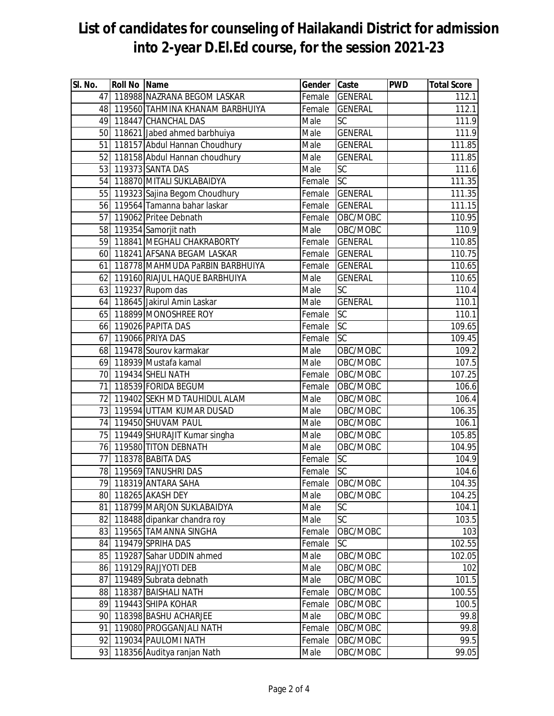| SI. No. | <b>Roll No Name</b> |                                    | Gender Caste |                 | <b>PWD</b> | <b>Total Score</b> |
|---------|---------------------|------------------------------------|--------------|-----------------|------------|--------------------|
| 47      |                     | 118988 NAZRANA BEGOM LASKAR        | Female       | <b>GENERAL</b>  |            | 112.1              |
|         |                     | 48 119560 TAHMINA KHANAM BARBHUIYA | Female       | <b>GENERAL</b>  |            | 112.1              |
|         |                     | 49 118447 CHANCHAL DAS             | Male         | <b>SC</b>       |            | 111.9              |
|         |                     | 50 118621 Jabed ahmed barbhuiya    | Male         | <b>GENERAL</b>  |            | 111.9              |
|         |                     | 51 118157 Abdul Hannan Choudhury   | Male         | <b>GENERAL</b>  |            | 111.85             |
|         |                     | 52 118158 Abdul Hannan choudhury   | Male         | <b>GENERAL</b>  |            | 111.85             |
|         |                     | 53 119373 SANTA DAS                | Male         | SC              |            | 111.6              |
|         |                     | 54 118870 MITALI SUKLABAIDYA       | Female       | <b>SC</b>       |            | 111.35             |
|         |                     | 55 119323 Sajina Begom Choudhury   | Female       | <b>GENERAL</b>  |            | 111.35             |
|         |                     | 56 119564 Tamanna bahar laskar     | Female       | <b>GENERAL</b>  |            | 111.15             |
| 57      |                     | 119062 Pritee Debnath              | Female       | OBC/MOBC        |            | 110.95             |
|         |                     | 58 119354 Samorjit nath            | Male         | OBC/MOBC        |            | 110.9              |
|         |                     | 59 118841 MEGHALI CHAKRABORTY      | Female       | <b>GENERAL</b>  |            | 110.85             |
|         |                     | 60 118241 AFSANA BEGAM LASKAR      | Female       | <b>GENERAL</b>  |            | 110.75             |
| 61      |                     | 118778 MAHMUDA PaRBIN BARBHUIYA    | Female       | <b>GENERAL</b>  |            | 110.65             |
|         |                     | 62 119160 RIAJUL HAQUE BARBHUIYA   | Male         | <b>GENERAL</b>  |            | 110.65             |
|         |                     | 63 119237 Rupom das                | Male         | SC              |            | 110.4              |
|         |                     | 64 118645 Jakirul Amin Laskar      | Male         | <b>GENERAL</b>  |            | 110.1              |
|         |                     | 65 118899 MONOSHREE ROY            | Female       | $\overline{SC}$ |            | 110.1              |
|         |                     | 66 119026 PAPITA DAS               | Female       | <b>SC</b>       |            | 109.65             |
|         |                     | 67 119066 PRIYA DAS                | Female       | <b>SC</b>       |            | 109.45             |
|         |                     | 68 119478 Sourov karmakar          | Male         | OBC/MOBC        |            | 109.2              |
|         |                     | 69 118939 Mustafa kamal            | Male         | OBC/MOBC        |            | 107.5              |
|         |                     | 70 119434 SHELI NATH               | Female       | OBC/MOBC        |            | 107.25             |
| 71      |                     | 118539 FORIDA BEGUM                | Female       | OBC/MOBC        |            | 106.6              |
|         |                     | 72 119402 SEKH MD TAUHIDUL ALAM    | Male         | OBC/MOBC        |            | 106.4              |
|         |                     | 73 119594 UTTAM KUMAR DUSAD        | Male         | OBC/MOBC        |            | 106.35             |
|         |                     | 74 119450 SHUVAM PAUL              | Male         | OBC/MOBC        |            | 106.1              |
|         |                     | 75 119449 SHURAJIT Kumar singha    | Male         | OBC/MOBC        |            | 105.85             |
|         |                     | 76 119580 TITON DEBNATH            | Male         | OBC/MOBC        |            | 104.95             |
| 77      |                     | 118378 BABITA DAS                  | Female       | <b>SC</b>       |            | 104.9              |
|         |                     | 78 119569 TANUSHRI DAS             | Female       | <b>SC</b>       |            | 104.6              |
|         |                     | 79 118319 ANTARA SAHA              | Female       | OBC/MOBC        |            | 104.35             |
| 80I     |                     | 118265 AKASH DEY                   | Male         | OBC/MOBC        |            | 104.25             |
| 81      |                     | 118799 MARJON SUKLABAIDYA          | Male         | <b>SC</b>       |            | 104.1              |
| 82      |                     | 118488 dipankar chandra roy        | Male         | SC              |            | 103.5              |
| 83      |                     | 119565 TAMANNA SINGHA              | Female       | OBC/MOBC        |            | 103                |
| 84      |                     | 119479 SPRIHA DAS                  | Female       | <b>SC</b>       |            | 102.55             |
|         |                     | 85 119287 Sahar UDDIN ahmed        | Male         | OBC/MOBC        |            | 102.05             |
|         |                     | 86 119129 RAJJYOTI DEB             | Male         | OBC/MOBC        |            | 102                |
| 87      |                     | 119489 Subrata debnath             | Male         | OBC/MOBC        |            | 101.5              |
| 88      |                     | 118387 BAISHALI NATH               | Female       | OBC/MOBC        |            | 100.55             |
| 89      |                     | 119443 SHIPA KOHAR                 | Female       | OBC/MOBC        |            | 100.5              |
| 90      |                     | 118398 BASHU ACHARJEE              | Male         | OBC/MOBC        |            | 99.8               |
| 91      |                     | 119080 PROGGANJALI NATH            | Female       | OBC/MOBC        |            | 99.8               |
| 92      |                     | 119034 PAULOMI NATH                | Female       | OBC/MOBC        |            | $\frac{1}{99.5}$   |
| 93      |                     | 118356 Auditya ranjan Nath         | Male         | OBC/MOBC        |            | 99.05              |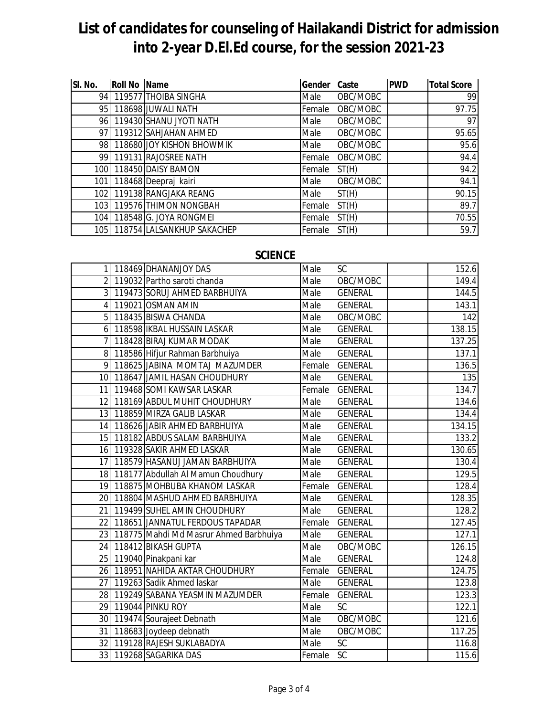| SI. No.          | <b>Roll No Name</b> |                            | <b>Gender</b> | Caste    | <b>PWD</b> | <b>Total Score</b> |
|------------------|---------------------|----------------------------|---------------|----------|------------|--------------------|
| 94               |                     | 119577 THOIBA SINGHA       | Male          | OBC/MOBC |            | 99                 |
| 95               |                     | 118698 JUWALI NATH         | Female        | OBC/MOBC |            | 97.75              |
| 96I              |                     | 119430 SHANU JYOTI NATH    | Male          | OBC/MOBC |            | 97                 |
| 97I              |                     | 119312 SAHJAHAN AHMED      | Male          | OBC/MOBC |            | 95.65              |
| 98               |                     | 118680 JOY KISHON BHOWMIK  | Male          | OBC/MOBC |            | 95.6               |
| 99               |                     | 119131 RAJOSREE NATH       | Female        | OBC/MOBC |            | 94.4               |
| 100 <sup>1</sup> |                     | 118450 DAISY BAMON         | Female        | ST(H)    |            | 94.2               |
| 101              |                     | 118468 Deepraj kairi       | Male          | OBC/MOBC |            | 94.1               |
| 102 <sub>l</sub> |                     | 119138 RANGJAKA REANG      | Male          | ST(H)    |            | 90.15              |
| 103              |                     | 119576 THIMON NONGBAH      | Female        | ST(H)    |            | 89.7               |
| 104              |                     | 118548 G. JOYA RONGMEI     | Female        | ST(H)    |            | 70.55              |
| <b>1051</b>      |                     | 118754 LALSANKHUP SAKACHEP | Female        | ST(H)    |            | 59.7               |

#### **SCIENCE**

|                | 118469 DHANANJOY DAS                      | Male   | $\overline{SC}$ | 152.6               |
|----------------|-------------------------------------------|--------|-----------------|---------------------|
| 2              | 119032 Partho saroti chanda               | Male   | OBC/MOBC        | 149.4               |
|                | 3 119473 SORUJ AHMED BARBHUIYA            | Male   | <b>GENERAL</b>  | 144.5               |
| 4              | 119021 OSMAN AMIN                         | Male   | <b>GENERAL</b>  | 143.1               |
|                | 5 118435 BISWA CHANDA                     | Male   | OBC/MOBC        | $\overline{1}$ 42   |
|                | 6 118598 IKBAL HUSSAIN LASKAR             | Male   | <b>GENERAL</b>  | 138.15              |
| $\overline{7}$ | 118428 BIRAJ KUMAR MODAK                  | Male   | <b>GENERAL</b>  | 137.25              |
|                | 8 118586 Hifjur Rahman Barbhuiya          | Male   | <b>GENERAL</b>  | 137.1               |
| 9              | 118625 JABINA MOMTAJ MAZUMDER             | Female | <b>GENERAL</b>  | 136.5               |
|                | 10 118647 JAMIL HASAN CHOUDHURY           | Male   | <b>GENERAL</b>  | 135                 |
| 11             | 119468 SOMI KAWSAR LASKAR                 | Female | <b>GENERAL</b>  | 134.7               |
|                | 12 118169 ABDUL MUHIT CHOUDHURY           | Male   | <b>GENERAL</b>  | 134.6               |
| 13             | 118859 MIRZA GALIB LASKAR                 | Male   | <b>GENERAL</b>  | 134.4               |
| 14             | 118626 JABIR AHMED BARBHUIYA              | Male   | <b>GENERAL</b>  | 134.15              |
|                | 15 118182 ABDUS SALAM BARBHUIYA           | Male   | <b>GENERAL</b>  | 133.2               |
|                | 16 119328 SAKIR AHMED LASKAR              | Male   | <b>GENERAL</b>  | 130.65              |
| 17             | 118579 HASANUJ JAMAN BARBHUIYA            | Male   | <b>GENERAL</b>  | 130.4               |
|                | 18 118177 Abdullah Al Mamun Choudhury     | Male   | <b>GENERAL</b>  | 129.5               |
|                | 19 118875 MOHBUBA KHANOM LASKAR           | Female | <b>GENERAL</b>  | 128.4               |
| 20             | 118804 MASHUD AHMED BARBHUIYA             | Male   | <b>GENERAL</b>  | 128.35              |
| 21             | 119499 SUHEL AMIN CHOUDHURY               | Male   | <b>GENERAL</b>  | 128.2               |
| 22             | 118651 JANNATUL FERDOUS TAPADAR           | Female | <b>GENERAL</b>  | $\overline{127}.45$ |
|                | 23 118775 Mahdi Md Masrur Ahmed Barbhuiya | Male   | <b>GENERAL</b>  | 127.1               |
| 24             | 118412 BIKASH GUPTA                       | Male   | OBC/MOBC        | 126.15              |
|                | 25 119040 Pinakpani kar                   | Male   | <b>GENERAL</b>  | 124.8               |
|                | 26 118951 NAHIDA AKTAR CHOUDHURY          | Female | <b>GENERAL</b>  | 124.75              |
| 27             | 119263 Sadik Ahmed laskar                 | Male   | <b>GENERAL</b>  | 123.8               |
| 28             | 119249 SABANA YEASMIN MAZUMDER            | Female | <b>GENERAL</b>  | 123.3               |
|                | 29 119044 PINKU ROY                       | Male   | $\overline{SC}$ | 122.1               |
|                | 30 119474 Sourajeet Debnath               | Male   | OBC/MOBC        | 121.6               |
| 31             | 118683 Joydeep debnath                    | Male   | OBC/MOBC        | 117.25              |
|                | 32 119128 RAJESH SUKLABADYA               | Male   | SC              | 116.8               |
|                | 33 119268 SAGARIKA DAS                    | Female | <b>SC</b>       | 115.6               |